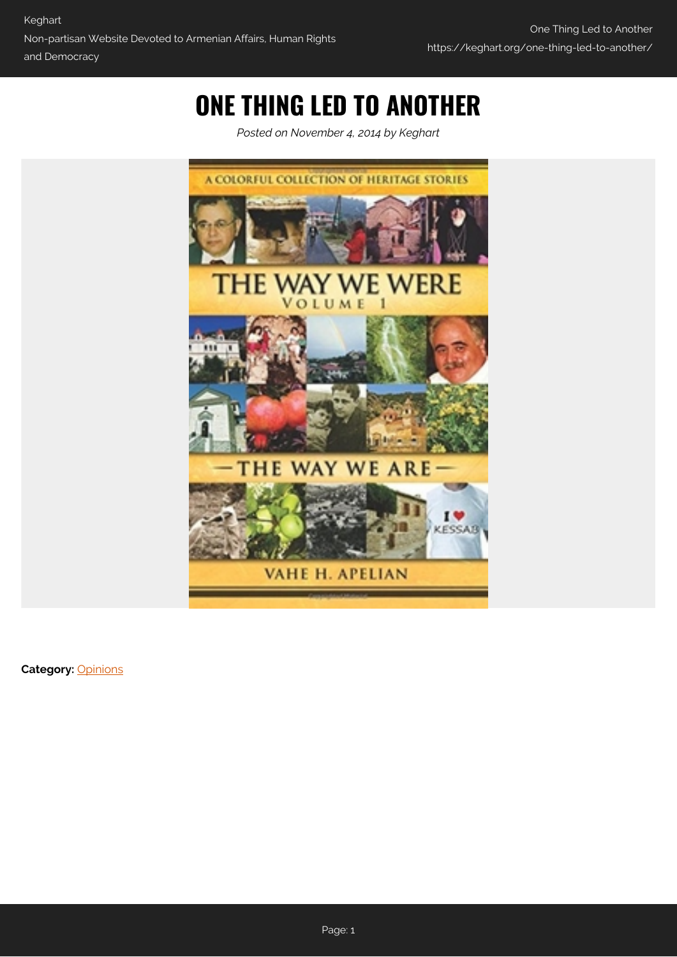## **ONE THING LED TO ANOTHER**

*Posted on November 4, 2014 by Keghart*



**Category:** [Opinions](https://keghart.org/category/opinions/)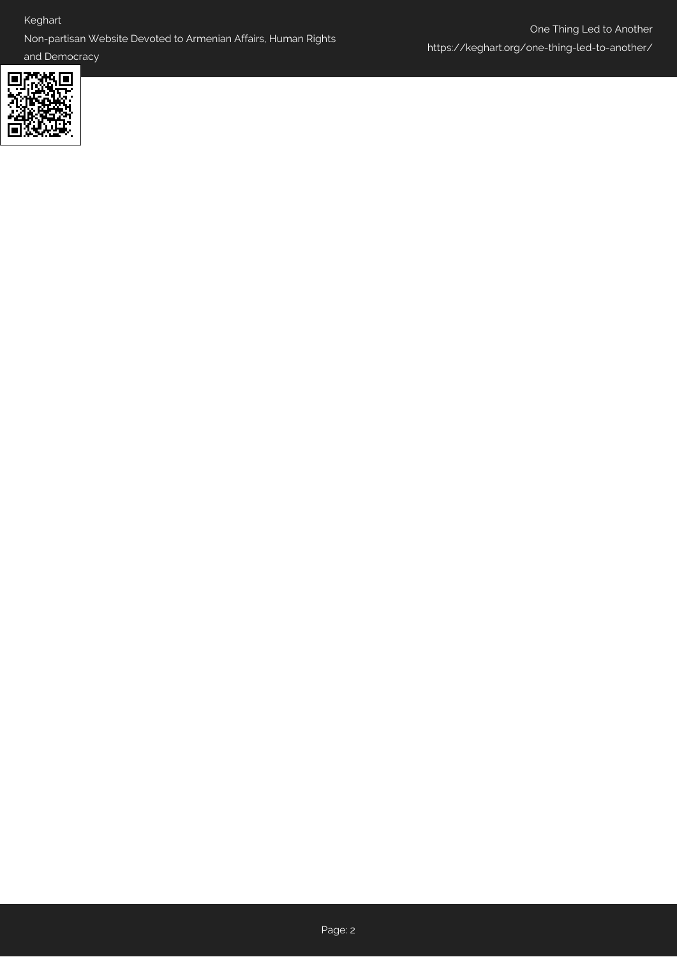## Non-partisan Website Devoted to Armenian Affairs, Human Rights

and Democracy

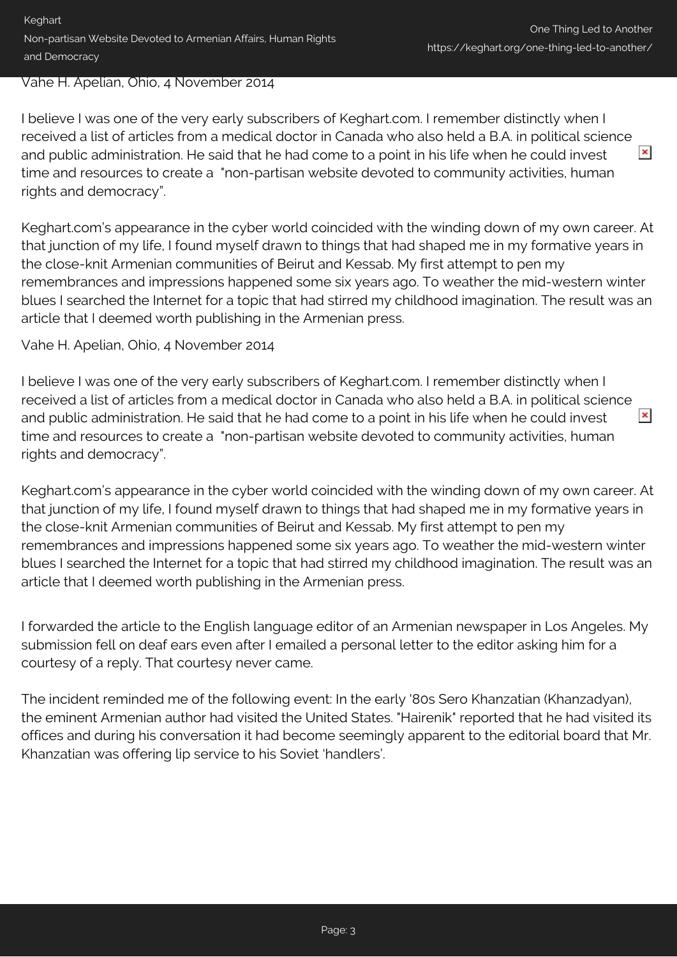**Keghart** Non-partisan Website Devoted to Armenian Affairs, Human Rights and Democracy

## Vahe H. Apelian, Ohio, 4 November 2014

I believe I was one of the very early subscribers of Keghart.com. I remember distinctly when I received a list of articles from a medical doctor in Canada who also held a B.A. in political science  $\pmb{\times}$ and public administration. He said that he had come to a point in his life when he could invest time and resources to create a "non-partisan website devoted to community activities, human rights and democracy".

Keghart.com's appearance in the cyber world coincided with the winding down of my own career. At that junction of my life, I found myself drawn to things that had shaped me in my formative years in the close-knit Armenian communities of Beirut and Kessab. My first attempt to pen my remembrances and impressions happened some six years ago. To weather the mid-western winter blues I searched the Internet for a topic that had stirred my childhood imagination. The result was an article that I deemed worth publishing in the Armenian press.

## Vahe H. Apelian, Ohio, 4 November 2014

I believe I was one of the very early subscribers of Keghart.com. I remember distinctly when I received a list of articles from a medical doctor in Canada who also held a B.A. in political science  $\pmb{\times}$ and public administration. He said that he had come to a point in his life when he could invest time and resources to create a "non-partisan website devoted to community activities, human rights and democracy".

Keghart.com's appearance in the cyber world coincided with the winding down of my own career. At that junction of my life, I found myself drawn to things that had shaped me in my formative years in the close-knit Armenian communities of Beirut and Kessab. My first attempt to pen my remembrances and impressions happened some six years ago. To weather the mid-western winter blues I searched the Internet for a topic that had stirred my childhood imagination. The result was an article that I deemed worth publishing in the Armenian press.

I forwarded the article to the English language editor of an Armenian newspaper in Los Angeles. My submission fell on deaf ears even after I emailed a personal letter to the editor asking him for a courtesy of a reply. That courtesy never came.

The incident reminded me of the following event: In the early '80s Sero Khanzatian (Khanzadyan), the eminent Armenian author had visited the United States. "Hairenik" reported that he had visited its offices and during his conversation it had become seemingly apparent to the editorial board that Mr. Khanzatian was offering lip service to his Soviet 'handlers'.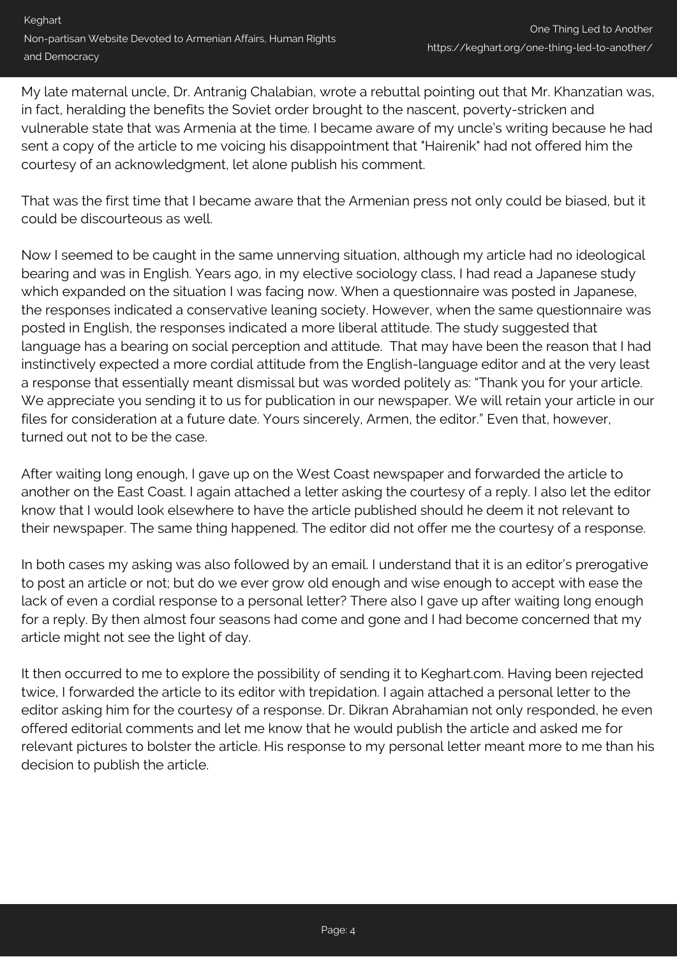My late maternal uncle, Dr. Antranig Chalabian, wrote a rebuttal pointing out that Mr. Khanzatian was, in fact, heralding the benefits the Soviet order brought to the nascent, poverty-stricken and vulnerable state that was Armenia at the time. I became aware of my uncle's writing because he had sent a copy of the article to me voicing his disappointment that "Hairenik" had not offered him the courtesy of an acknowledgment, let alone publish his comment.

That was the first time that I became aware that the Armenian press not only could be biased, but it could be discourteous as well.

Now I seemed to be caught in the same unnerving situation, although my article had no ideological bearing and was in English. Years ago, in my elective sociology class, I had read a Japanese study which expanded on the situation I was facing now. When a questionnaire was posted in Japanese, the responses indicated a conservative leaning society. However, when the same questionnaire was posted in English, the responses indicated a more liberal attitude. The study suggested that language has a bearing on social perception and attitude. That may have been the reason that I had instinctively expected a more cordial attitude from the English-language editor and at the very least a response that essentially meant dismissal but was worded politely as: "Thank you for your article. We appreciate you sending it to us for publication in our newspaper. We will retain your article in our files for consideration at a future date. Yours sincerely, Armen, the editor." Even that, however, turned out not to be the case.

After waiting long enough, I gave up on the West Coast newspaper and forwarded the article to another on the East Coast. I again attached a letter asking the courtesy of a reply. I also let the editor know that I would look elsewhere to have the article published should he deem it not relevant to their newspaper. The same thing happened. The editor did not offer me the courtesy of a response.

In both cases my asking was also followed by an email. I understand that it is an editor's prerogative to post an article or not; but do we ever grow old enough and wise enough to accept with ease the lack of even a cordial response to a personal letter? There also I gave up after waiting long enough for a reply. By then almost four seasons had come and gone and I had become concerned that my article might not see the light of day.

It then occurred to me to explore the possibility of sending it to Keghart.com. Having been rejected twice, I forwarded the article to its editor with trepidation. I again attached a personal letter to the editor asking him for the courtesy of a response. Dr. Dikran Abrahamian not only responded, he even offered editorial comments and let me know that he would publish the article and asked me for relevant pictures to bolster the article. His response to my personal letter meant more to me than his decision to publish the article.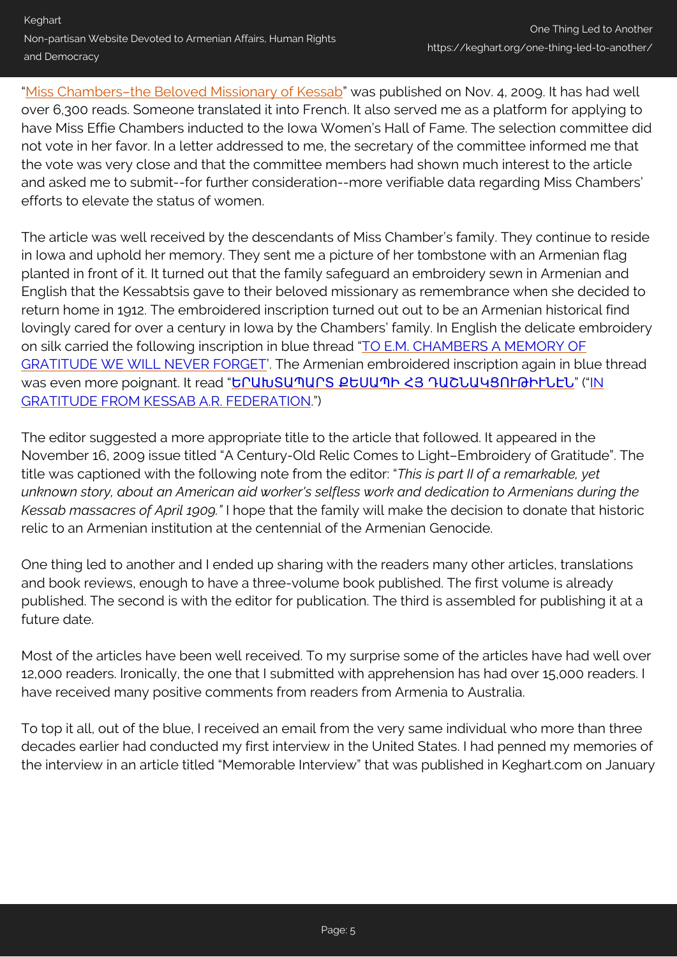Keghart Non-partisan Website Devoted to Armenian Affairs, Human Rights and Democracy

"Miss Chambers-the Beloved Missionary of Kessab" was published on Nov. 4, 2009. It has had well over 6,300 reads. Someone translated it into French. It also served me as a platform for applying to have Miss Effie Chambers inducted to the Iowa Women's Hall of Fame. The selection committee did not vote in her favor. In a letter addressed to me, the secretary of the committee informed me that the vote was very close and that the committee members had shown much interest to the article and asked me to submit--for further consideration--more verifiable data regarding Miss Chambers' efforts to elevate the status of women.

The article was well received by the descendants of Miss Chamber's family. They continue to reside in Iowa and uphold her memory. They sent me a picture of her tombstone with an Armenian flag planted in front of it. It turned out that the family safeguard an embroidery sewn in Armenian and English that the Kessabtsis gave to their beloved missionary as remembrance when she decided to return home in 1912. The embroidered inscription turned out out to be an Armenian historical find lovingly cared for over a century in Iowa by the Chambers' family. In English the delicate embroidery on silk carried the following inscription in blue thread ["TO E.M. CHAMBERS A MEMORY OF](http://www.keghart.com/Apelian_Chambers2) [GRATITUDE WE WILL NEVER FORGET](http://www.keghart.com/Apelian_Chambers2)'. The Armenian embroidered inscription again in blue thread was even more poignant. It read "**ԵՐԱԽՏԱՊԱՐՏ ՔԵՍԱՊԻ ՀՅ ԴԱՇՆԱԿՑՈԻԹԻՆԵՆ**" ("[IN](http://www.keghart.com/Apelian_Chambers2) [GRATITUDE FROM KESSAB A.R. FEDERATION](http://www.keghart.com/Apelian_Chambers2).")

The editor suggested a more appropriate title to the article that followed. It appeared in the November 16, 2009 issue titled "A Century-Old Relic Comes to Light–Embroidery of Gratitude". The title was captioned with the following note from the editor: "*This is part II of a remarkable, yet unknown story, about an American aid worker's selfless work and dedication to Armenians during the Kessab massacres of April 1909."* I hope that the family will make the decision to donate that historic relic to an Armenian institution at the centennial of the Armenian Genocide.

One thing led to another and I ended up sharing with the readers many other articles, translations and book reviews, enough to have a three-volume book published. The first volume is already published. The second is with the editor for publication. The third is assembled for publishing it at a future date.

Most of the articles have been well received. To my surprise some of the articles have had well over 12,000 readers. Ironically, the one that I submitted with apprehension has had over 15,000 readers. I have received many positive comments from readers from Armenia to Australia.

To top it all, out of the blue, I received an email from the very same individual who more than three decades earlier had conducted my first interview in the United States. I had penned my memories of the interview in an article titled "Memorable Interview" that was published in Keghart.com on January